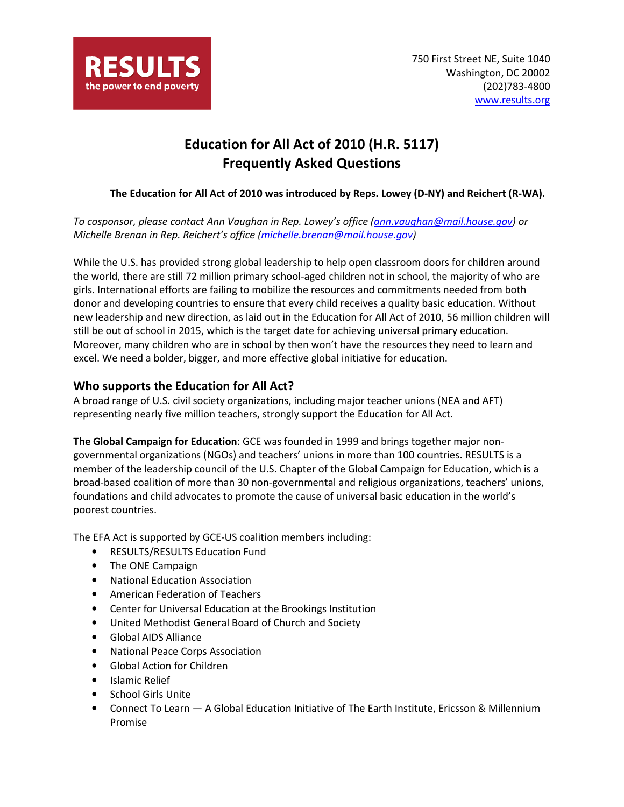

# Education for All Act of 2010 (H.R. 5117) Frequently Asked Questions

#### The Education for All Act of 2010 was introduced by Reps. Lowey (D-NY) and Reichert (R-WA).

To cosponsor, please contact Ann Vaughan in Rep. Lowey's office (ann.vaughan@mail.house.gov) or Michelle Brenan in Rep. Reichert's office (michelle.brenan@mail.house.gov)

While the U.S. has provided strong global leadership to help open classroom doors for children around the world, there are still 72 million primary school-aged children not in school, the majority of who are girls. International efforts are failing to mobilize the resources and commitments needed from both donor and developing countries to ensure that every child receives a quality basic education. Without new leadership and new direction, as laid out in the Education for All Act of 2010, 56 million children will still be out of school in 2015, which is the target date for achieving universal primary education. Moreover, many children who are in school by then won't have the resources they need to learn and excel. We need a bolder, bigger, and more effective global initiative for education.

#### Who supports the Education for All Act?

A broad range of U.S. civil society organizations, including major teacher unions (NEA and AFT) representing nearly five million teachers, strongly support the Education for All Act.

The Global Campaign for Education: GCE was founded in 1999 and brings together major nongovernmental organizations (NGOs) and teachers' unions in more than 100 countries. RESULTS is a member of the leadership council of the U.S. Chapter of the Global Campaign for Education, which is a broad-based coalition of more than 30 non-governmental and religious organizations, teachers' unions, foundations and child advocates to promote the cause of universal basic education in the world's poorest countries.

The EFA Act is supported by GCE-US coalition members including:

- RESULTS/RESULTS Education Fund
- The ONE Campaign
- National Education Association
- American Federation of Teachers
- Center for Universal Education at the Brookings Institution
- United Methodist General Board of Church and Society
- Global AIDS Alliance
- National Peace Corps Association
- Global Action for Children
- Islamic Relief
- School Girls Unite
- Connect To Learn A Global Education Initiative of The Earth Institute, Ericsson & Millennium Promise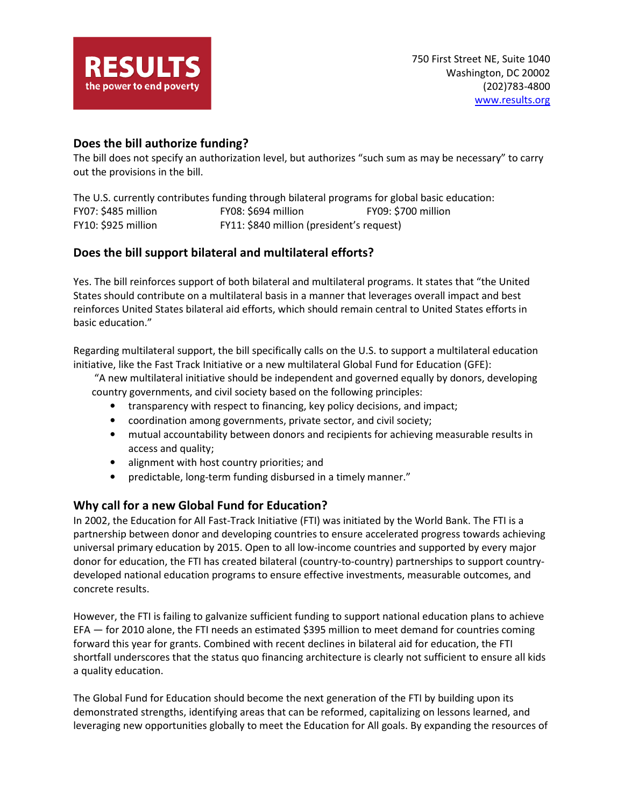

# Does the bill authorize funding?

The bill does not specify an authorization level, but authorizes "such sum as may be necessary" to carry out the provisions in the bill.

The U.S. currently contributes funding through bilateral programs for global basic education: FY07: \$485 million FY08: \$694 million FY09: \$700 million FY10: \$925 million FY11: \$840 million (president's request)

# Does the bill support bilateral and multilateral efforts?

Yes. The bill reinforces support of both bilateral and multilateral programs. It states that "the United States should contribute on a multilateral basis in a manner that leverages overall impact and best reinforces United States bilateral aid efforts, which should remain central to United States efforts in basic education."

Regarding multilateral support, the bill specifically calls on the U.S. to support a multilateral education initiative, like the Fast Track Initiative or a new multilateral Global Fund for Education (GFE):

 "A new multilateral initiative should be independent and governed equally by donors, developing country governments, and civil society based on the following principles:

- transparency with respect to financing, key policy decisions, and impact;
- coordination among governments, private sector, and civil society;
- mutual accountability between donors and recipients for achieving measurable results in access and quality;
- alignment with host country priorities; and
- predictable, long-term funding disbursed in a timely manner."

# Why call for a new Global Fund for Education?

In 2002, the Education for All Fast-Track Initiative (FTI) was initiated by the World Bank. The FTI is a partnership between donor and developing countries to ensure accelerated progress towards achieving universal primary education by 2015. Open to all low-income countries and supported by every major donor for education, the FTI has created bilateral (country-to-country) partnerships to support countrydeveloped national education programs to ensure effective investments, measurable outcomes, and concrete results.

However, the FTI is failing to galvanize sufficient funding to support national education plans to achieve EFA — for 2010 alone, the FTI needs an estimated \$395 million to meet demand for countries coming forward this year for grants. Combined with recent declines in bilateral aid for education, the FTI shortfall underscores that the status quo financing architecture is clearly not sufficient to ensure all kids a quality education.

The Global Fund for Education should become the next generation of the FTI by building upon its demonstrated strengths, identifying areas that can be reformed, capitalizing on lessons learned, and leveraging new opportunities globally to meet the Education for All goals. By expanding the resources of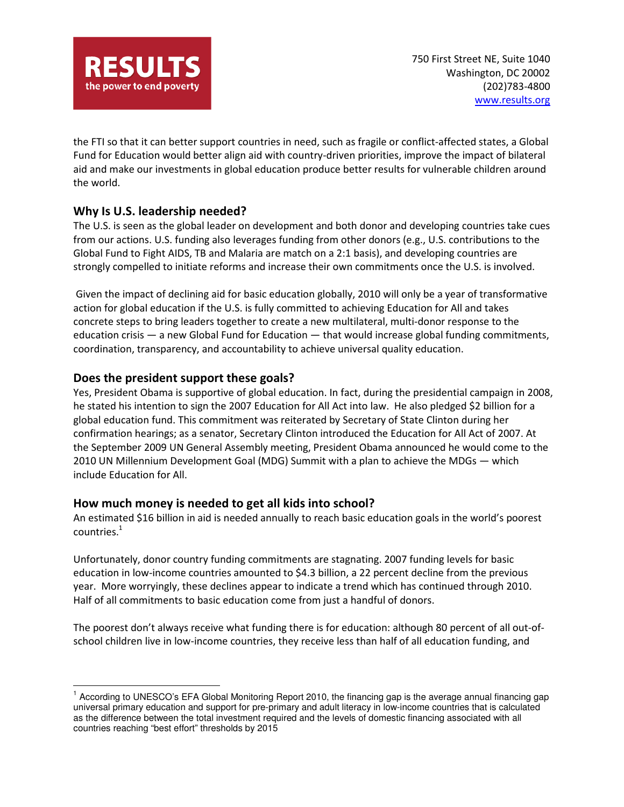

the FTI so that it can better support countries in need, such as fragile or conflict-affected states, a Global Fund for Education would better align aid with country-driven priorities, improve the impact of bilateral aid and make our investments in global education produce better results for vulnerable children around the world.

# Why Is U.S. leadership needed?

The U.S. is seen as the global leader on development and both donor and developing countries take cues from our actions. U.S. funding also leverages funding from other donors (e.g., U.S. contributions to the Global Fund to Fight AIDS, TB and Malaria are match on a 2:1 basis), and developing countries are strongly compelled to initiate reforms and increase their own commitments once the U.S. is involved.

 Given the impact of declining aid for basic education globally, 2010 will only be a year of transformative action for global education if the U.S. is fully committed to achieving Education for All and takes concrete steps to bring leaders together to create a new multilateral, multi-donor response to the education crisis  $-$  a new Global Fund for Education  $-$  that would increase global funding commitments, coordination, transparency, and accountability to achieve universal quality education.

# Does the president support these goals?

 $\overline{a}$ 

Yes, President Obama is supportive of global education. In fact, during the presidential campaign in 2008, he stated his intention to sign the 2007 Education for All Act into law. He also pledged \$2 billion for a global education fund. This commitment was reiterated by Secretary of State Clinton during her confirmation hearings; as a senator, Secretary Clinton introduced the Education for All Act of 2007. At the September 2009 UN General Assembly meeting, President Obama announced he would come to the 2010 UN Millennium Development Goal (MDG) Summit with a plan to achieve the MDGs — which include Education for All.

# How much money is needed to get all kids into school?

An estimated \$16 billion in aid is needed annually to reach basic education goals in the world's poorest countries. $^{1}$ 

Unfortunately, donor country funding commitments are stagnating. 2007 funding levels for basic education in low-income countries amounted to \$4.3 billion, a 22 percent decline from the previous year. More worryingly, these declines appear to indicate a trend which has continued through 2010. Half of all commitments to basic education come from just a handful of donors.

The poorest don't always receive what funding there is for education: although 80 percent of all out-ofschool children live in low-income countries, they receive less than half of all education funding, and

<sup>&</sup>lt;sup>1</sup> According to UNESCO's EFA Global Monitoring Report 2010, the financing gap is the average annual financing gap universal primary education and support for pre-primary and adult literacy in low-income countries that is calculated as the difference between the total investment required and the levels of domestic financing associated with all countries reaching "best effort" thresholds by 2015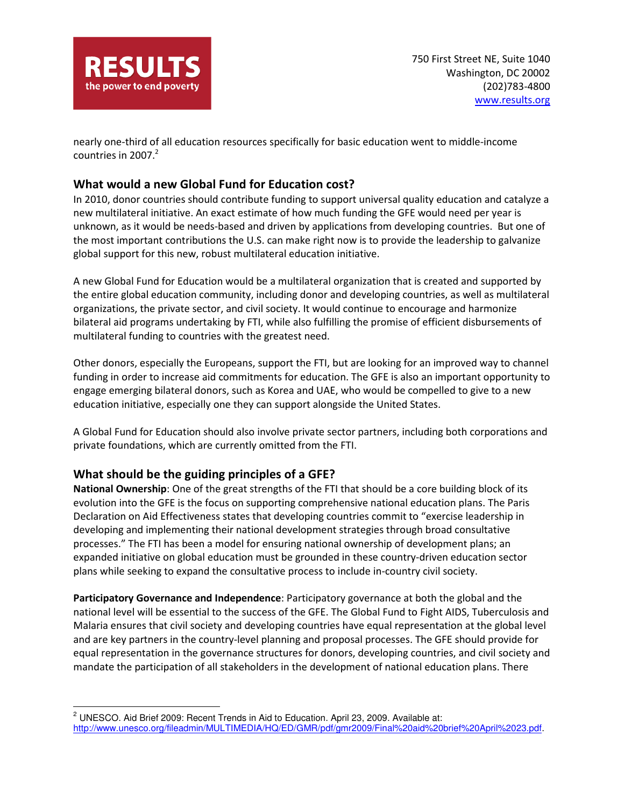

nearly one-third of all education resources specifically for basic education went to middle-income countries in 2007. $2$ 

# What would a new Global Fund for Education cost?

In 2010, donor countries should contribute funding to support universal quality education and catalyze a new multilateral initiative. An exact estimate of how much funding the GFE would need per year is unknown, as it would be needs-based and driven by applications from developing countries. But one of the most important contributions the U.S. can make right now is to provide the leadership to galvanize global support for this new, robust multilateral education initiative.

A new Global Fund for Education would be a multilateral organization that is created and supported by the entire global education community, including donor and developing countries, as well as multilateral organizations, the private sector, and civil society. It would continue to encourage and harmonize bilateral aid programs undertaking by FTI, while also fulfilling the promise of efficient disbursements of multilateral funding to countries with the greatest need.

Other donors, especially the Europeans, support the FTI, but are looking for an improved way to channel funding in order to increase aid commitments for education. The GFE is also an important opportunity to engage emerging bilateral donors, such as Korea and UAE, who would be compelled to give to a new education initiative, especially one they can support alongside the United States.

A Global Fund for Education should also involve private sector partners, including both corporations and private foundations, which are currently omitted from the FTI.

# What should be the guiding principles of a GFE?

 $\overline{a}$ 

National Ownership: One of the great strengths of the FTI that should be a core building block of its evolution into the GFE is the focus on supporting comprehensive national education plans. The Paris Declaration on Aid Effectiveness states that developing countries commit to "exercise leadership in developing and implementing their national development strategies through broad consultative processes." The FTI has been a model for ensuring national ownership of development plans; an expanded initiative on global education must be grounded in these country-driven education sector plans while seeking to expand the consultative process to include in-country civil society.

Participatory Governance and Independence: Participatory governance at both the global and the national level will be essential to the success of the GFE. The Global Fund to Fight AIDS, Tuberculosis and Malaria ensures that civil society and developing countries have equal representation at the global level and are key partners in the country-level planning and proposal processes. The GFE should provide for equal representation in the governance structures for donors, developing countries, and civil society and mandate the participation of all stakeholders in the development of national education plans. There

 $2$  UNESCO. Aid Brief 2009: Recent Trends in Aid to Education. April 23, 2009. Available at: http://www.unesco.org/fileadmin/MULTIMEDIA/HQ/ED/GMR/pdf/gmr2009/Final%20aid%20brief%20April%2023.pdf.